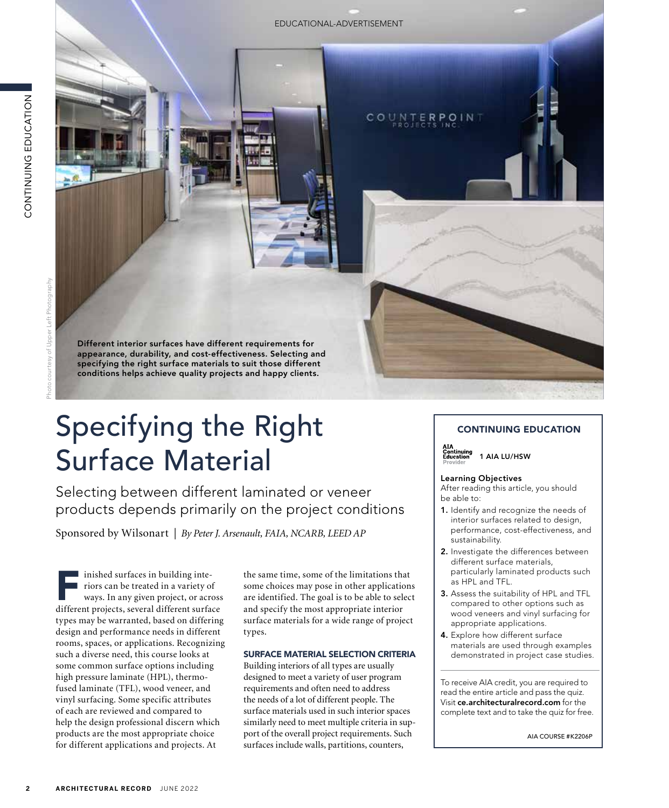Photo courtesy of Upper Left Photography

Different interior surfaces have different requirements for appearance, durability, and cost-effectiveness. Selecting and specifying the right surface materials to suit those different conditions helps achieve quality projects and happy clients.

# Specifying the Right Surface Material

Selecting between different laminated or veneer products depends primarily on the project conditions

Sponsored by Wilsonart | *By Peter J. Arsenault, FAIA, NCARB, LEED AP*

**2 ARCHITECTURAL RECORD**<br>
2<br> **2 ARCHITECT**<br>
2<br> **2 ARCHITECT**<br>
2<br> **2 ARCHITECT**<br>
2<br> **2 CONTINUITS**<br>
2<br> **2 ARCHITECT**<br>
2<br> **2 ARCHITECTURAL RECORD**<br>
2<br> **2 ARCHITECTURAL RECORD**<br>
2<br> **2 ARCHITECTURAL RECORD**<br> inished surfaces in building interiors can be treated in a variety of ways. In any given project, or across different projects, several different surface types may be warranted, based on differing design and performance needs in different rooms, spaces, or applications. Recognizing such a diverse need, this course looks at some common surface options including high pressure laminate (HPL), thermofused laminate (TFL), wood veneer, and vinyl surfacing. Some specific attributes of each are reviewed and compared to help the design professional discern which products are the most appropriate choice for different applications and projects. At

the same time, some of the limitations that some choices may pose in other applications are identified. The goal is to be able to select and specify the most appropriate interior surface materials for a wide range of project types.

## SURFACE MATERIAL SELECTION CRITERIA

Building interiors of all types are usually designed to meet a variety of user program requirements and often need to address the needs of a lot of different people. The surface materials used in such interior spaces similarly need to meet multiple criteria in support of the overall project requirements. Such surfaces include walls, partitions, counters,

# CONTINUING EDUCATION

1 AIA LU/HSW

#### Learning Objectives

After reading this article, you should be able to:

- 1. Identify and recognize the needs of interior surfaces related to design, performance, cost-effectiveness, and sustainability.
- 2. Investigate the differences between different surface materials, particularly laminated products such as HPL and TFL.
- 3. Assess the suitability of HPL and TFL compared to other options such as wood veneers and vinyl surfacing for appropriate applications.
- 4. Explore how different surface materials are used through examples demonstrated in project case studies.

To receive AIA credit, you are required to read the entire article and pass the quiz. Visit ce.architecturalrecord.com for the complete text and to take the quiz for free.

AIA COURSE #K2206P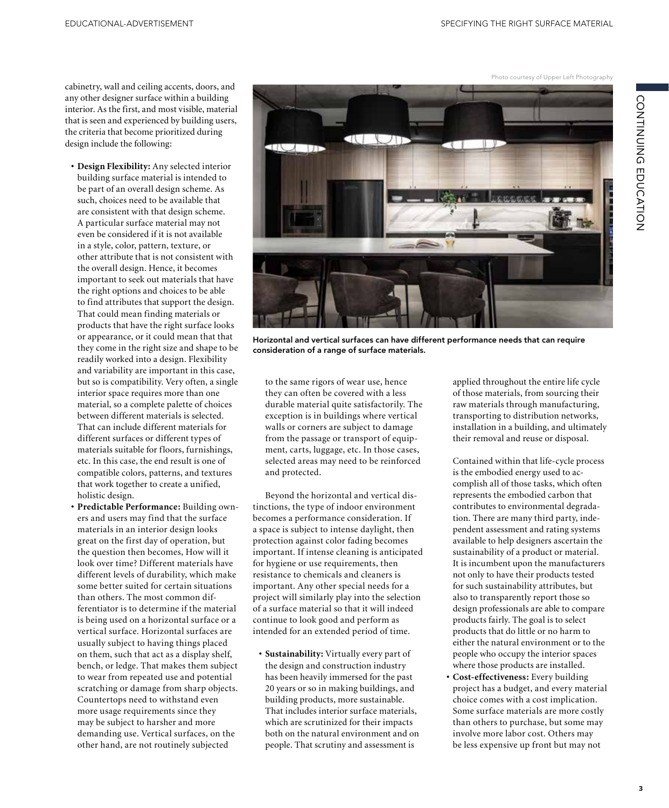Photo courtesy of Upper Left Photography

CONTINUING EDUCATION CONTINUING EDUCATION

cabinetry, wall and ceiling accents, doors, and any other designer surface within a building interior. As the first, and most visible, material that is seen and experienced by building users, the criteria that become prioritized during design include the following:

- **• Design Flexibility:** Any selected interior building surface material is intended to be part of an overall design scheme. As such, choices need to be available that are consistent with that design scheme. A particular surface material may not even be considered if it is not available in a style, color, pattern, texture, or other attribute that is not consistent with the overall design. Hence, it becomes important to seek out materials that have the right options and choices to be able to find attributes that support the design. That could mean finding materials or products that have the right surface looks or appearance, or it could mean that that they come in the right size and shape to be readily worked into a design. Flexibility and variability are important in this case, but so is compatibility. Very often, a single interior space requires more than one material, so a complete palette of choices between different materials is selected. That can include different materials for different surfaces or different types of materials suitable for floors, furnishings, etc. In this case, the end result is one of compatible colors, patterns, and textures that work together to create a unified, holistic design.
- **• Predictable Performance:** Building owners and users may find that the surface materials in an interior design looks great on the first day of operation, but the question then becomes, How will it look over time? Different materials have different levels of durability, which make some better suited for certain situations than others. The most common differentiator is to determine if the material is being used on a horizontal surface or a vertical surface. Horizontal surfaces are usually subject to having things placed on them, such that act as a display shelf, bench, or ledge. That makes them subject to wear from repeated use and potential scratching or damage from sharp objects. Countertops need to withstand even more usage requirements since they may be subject to harsher and more demanding use. Vertical surfaces, on the other hand, are not routinely subjected



Horizontal and vertical surfaces can have different performance needs that can require consideration of a range of surface materials.

to the same rigors of wear use, hence they can often be covered with a less durable material quite satisfactorily. The exception is in buildings where vertical walls or corners are subject to damage from the passage or transport of equipment, carts, luggage, etc. In those cases, selected areas may need to be reinforced and protected.

Beyond the horizontal and vertical distinctions, the type of indoor environment becomes a performance consideration. If a space is subject to intense daylight, then protection against color fading becomes important. If intense cleaning is anticipated for hygiene or use requirements, then resistance to chemicals and cleaners is important. Any other special needs for a project will similarly play into the selection of a surface material so that it will indeed continue to look good and perform as intended for an extended period of time.

**• Sustainability:** Virtually every part of the design and construction industry has been heavily immersed for the past 20 years or so in making buildings, and building products, more sustainable. That includes interior surface materials, which are scrutinized for their impacts both on the natural environment and on people. That scrutiny and assessment is

applied throughout the entire life cycle of those materials, from sourcing their raw materials through manufacturing, transporting to distribution networks, installation in a building, and ultimately their removal and reuse or disposal.

Contained within that life-cycle process is the embodied energy used to accomplish all of those tasks, which often represents the embodied carbon that contributes to environmental degradation. There are many third party, independent assessment and rating systems available to help designers ascertain the sustainability of a product or material. It is incumbent upon the manufacturers not only to have their products tested for such sustainability attributes, but also to transparently report those so design professionals are able to compare products fairly. The goal is to select products that do little or no harm to either the natural environment or to the people who occupy the interior spaces where those products are installed.

**• Cost-effectiveness:** Every building project has a budget, and every material choice comes with a cost implication. Some surface materials are more costly than others to purchase, but some may involve more labor cost. Others may be less expensive up front but may not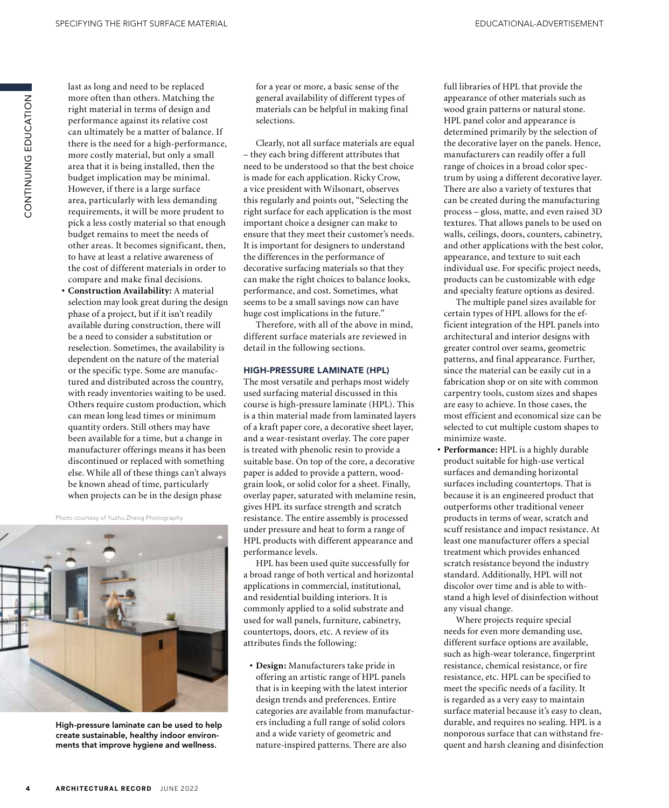CONTINUING EDUCATION ZOI-YUJQI UZIJZI-IZOU last as long and need to be replaced more often than others. Matching the right material in terms of design and performance against its relative cost can ultimately be a matter of balance. If there is the need for a high-performance, more costly material, but only a small area that it is being installed, then the budget implication may be minimal. However, if there is a large surface area, particularly with less demanding requirements, it will be more prudent to pick a less costly material so that enough budget remains to meet the needs of other areas. It becomes significant, then, to have at least a relative awareness of the cost of different materials in order to compare and make final decisions.

**• Construction Availability:** A material selection may look great during the design phase of a project, but if it isn't readily available during construction, there will be a need to consider a substitution or reselection. Sometimes, the availability is dependent on the nature of the material or the specific type. Some are manufactured and distributed across the country, with ready inventories waiting to be used. Others require custom production, which can mean long lead times or minimum quantity orders. Still others may have been available for a time, but a change in manufacturer offerings means it has been discontinued or replaced with something else. While all of these things can't always be known ahead of time, particularly when projects can be in the design phase

Photo courtesy of Yuzhu Zheng Photography



High-pressure laminate can be used to help create sustainable, healthy indoor environments that improve hygiene and wellness.

for a year or more, a basic sense of the general availability of different types of materials can be helpful in making final selections.

Clearly, not all surface materials are equal – they each bring different attributes that need to be understood so that the best choice is made for each application. Ricky Crow, a vice president with Wilsonart, observes this regularly and points out, "Selecting the right surface for each application is the most important choice a designer can make to ensure that they meet their customer's needs. It is important for designers to understand the differences in the performance of decorative surfacing materials so that they can make the right choices to balance looks, performance, and cost. Sometimes, what seems to be a small savings now can have huge cost implications in the future."

Therefore, with all of the above in mind, different surface materials are reviewed in detail in the following sections.

#### HIGH-PRESSURE LAMINATE (HPL)

The most versatile and perhaps most widely used surfacing material discussed in this course is high-pressure laminate (HPL). This is a thin material made from laminated layers of a kraft paper core, a decorative sheet layer, and a wear-resistant overlay. The core paper is treated with phenolic resin to provide a suitable base. On top of the core, a decorative paper is added to provide a pattern, woodgrain look, or solid color for a sheet. Finally, overlay paper, saturated with melamine resin, gives HPL its surface strength and scratch resistance. The entire assembly is processed under pressure and heat to form a range of HPL products with different appearance and performance levels.

HPL has been used quite successfully for a broad range of both vertical and horizontal applications in commercial, institutional, and residential building interiors. It is commonly applied to a solid substrate and used for wall panels, furniture, cabinetry, countertops, doors, etc. A review of its attributes finds the following:

**• Design:** Manufacturers take pride in offering an artistic range of HPL panels that is in keeping with the latest interior design trends and preferences. Entire categories are available from manufacturers including a full range of solid colors and a wide variety of geometric and nature-inspired patterns. There are also

full libraries of HPL that provide the appearance of other materials such as wood grain patterns or natural stone. HPL panel color and appearance is determined primarily by the selection of the decorative layer on the panels. Hence, manufacturers can readily offer a full range of choices in a broad color spectrum by using a different decorative layer. There are also a variety of textures that can be created during the manufacturing process – gloss, matte, and even raised 3D textures. That allows panels to be used on walls, ceilings, doors, counters, cabinetry, and other applications with the best color, appearance, and texture to suit each individual use. For specific project needs, products can be customizable with edge and specialty feature options as desired.

The multiple panel sizes available for certain types of HPL allows for the efficient integration of the HPL panels into architectural and interior designs with greater control over seams, geometric patterns, and final appearance. Further, since the material can be easily cut in a fabrication shop or on site with common carpentry tools, custom sizes and shapes are easy to achieve. In those cases, the most efficient and economical size can be selected to cut multiple custom shapes to minimize waste.

**• Performance:** HPL is a highly durable product suitable for high-use vertical surfaces and demanding horizontal surfaces including countertops. That is because it is an engineered product that outperforms other traditional veneer products in terms of wear, scratch and scuff resistance and impact resistance. At least one manufacturer offers a special treatment which provides enhanced scratch resistance beyond the industry standard. Additionally, HPL will not discolor over time and is able to withstand a high level of disinfection without any visual change.

Where projects require special needs for even more demanding use, different surface options are available, such as high-wear tolerance, fingerprint resistance, chemical resistance, or fire resistance, etc. HPL can be specified to meet the specific needs of a facility. It is regarded as a very easy to maintain surface material because it's easy to clean, durable, and requires no sealing. HPL is a nonporous surface that can withstand frequent and harsh cleaning and disinfection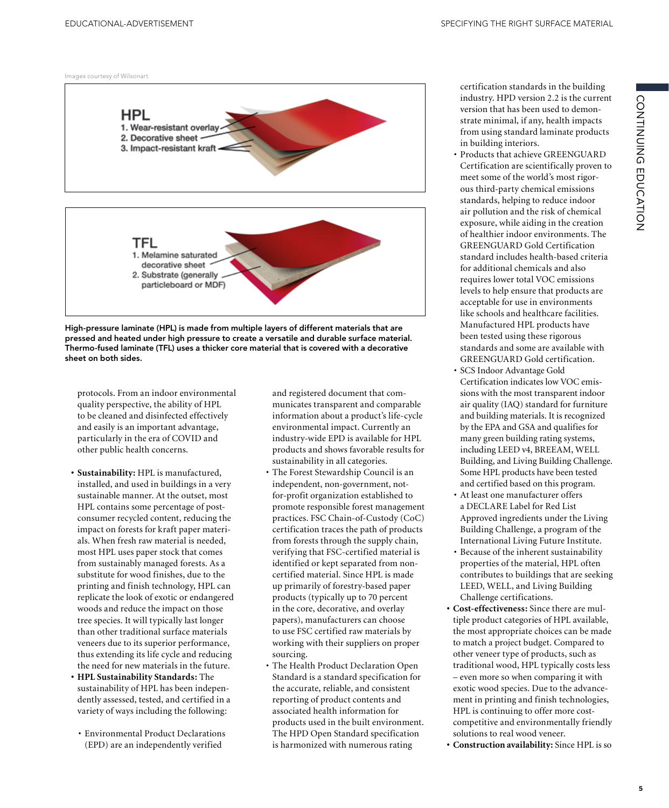Images courtesy of Wilsonart



High-pressure laminate (HPL) is made from multiple layers of different materials that are pressed and heated under high pressure to create a versatile and durable surface material. Thermo-fused laminate (TFL) uses a thicker core material that is covered with a decorative sheet on both sides.

protocols. From an indoor environmental quality perspective, the ability of HPL to be cleaned and disinfected effectively and easily is an important advantage, particularly in the era of COVID and other public health concerns.

- **• Sustainability:** HPL is manufactured, installed, and used in buildings in a very sustainable manner. At the outset, most HPL contains some percentage of postconsumer recycled content, reducing the impact on forests for kraft paper materials. When fresh raw material is needed, most HPL uses paper stock that comes from sustainably managed forests. As a substitute for wood finishes, due to the printing and finish technology, HPL can replicate the look of exotic or endangered woods and reduce the impact on those tree species. It will typically last longer than other traditional surface materials veneers due to its superior performance, thus extending its life cycle and reducing the need for new materials in the future.
- **• HPL Sustainability Standards:** The sustainability of HPL has been independently assessed, tested, and certified in a variety of ways including the following:
- Environmental Product Declarations (EPD) are an independently verified

and registered document that communicates transparent and comparable information about a product's life-cycle environmental impact. Currently an industry-wide EPD is available for HPL products and shows favorable results for sustainability in all categories.

- The Forest Stewardship Council is an independent, non-government, notfor-profit organization established to promote responsible forest management practices. FSC Chain-of-Custody (CoC) certification traces the path of products from forests through the supply chain, verifying that FSC-certified material is identified or kept separated from noncertified material. Since HPL is made up primarily of forestry-based paper products (typically up to 70 percent in the core, decorative, and overlay papers), manufacturers can choose to use FSC certified raw materials by working with their suppliers on proper sourcing.
- The Health Product Declaration Open Standard is a standard specification for the accurate, reliable, and consistent reporting of product contents and associated health information for products used in the built environment. The HPD Open Standard specification is harmonized with numerous rating

certification standards in the building industry. HPD version 2.2 is the current version that has been used to demonstrate minimal, if any, health impacts from using standard laminate products in building interiors.

CONTINUING EDUCATION

CONTINUING EDUCATION

- Products that achieve GREENGUARD Certification are scientifically proven to meet some of the world's most rigorous third-party chemical emissions standards, helping to reduce indoor air pollution and the risk of chemical exposure, while aiding in the creation of healthier indoor environments. The GREENGUARD Gold Certification standard includes health-based criteria for additional chemicals and also requires lower total VOC emissions levels to help ensure that products are acceptable for use in environments like schools and healthcare facilities. Manufactured HPL products have been tested using these rigorous standards and some are available with GREENGUARD Gold certification.
- SCS Indoor Advantage Gold Certification indicates low VOC emissions with the most transparent indoor air quality (IAQ) standard for furniture and building materials. It is recognized by the EPA and GSA and qualifies for many green building rating systems, including LEED v4, BREEAM, WELL Building, and Living Building Challenge. Some HPL products have been tested and certified based on this program.
- At least one manufacturer offers a DECLARE Label for Red List Approved ingredients under the Living Building Challenge, a program of the International Living Future Institute.
- Because of the inherent sustainability properties of the material, HPL often contributes to buildings that are seeking LEED, WELL, and Living Building Challenge certifications.
- **• Cost-effectiveness:** Since there are multiple product categories of HPL available, the most appropriate choices can be made to match a project budget. Compared to other veneer type of products, such as traditional wood, HPL typically costs less – even more so when comparing it with exotic wood species. Due to the advancement in printing and finish technologies, HPL is continuing to offer more costcompetitive and environmentally friendly solutions to real wood veneer.
- **• Construction availability:** Since HPL is so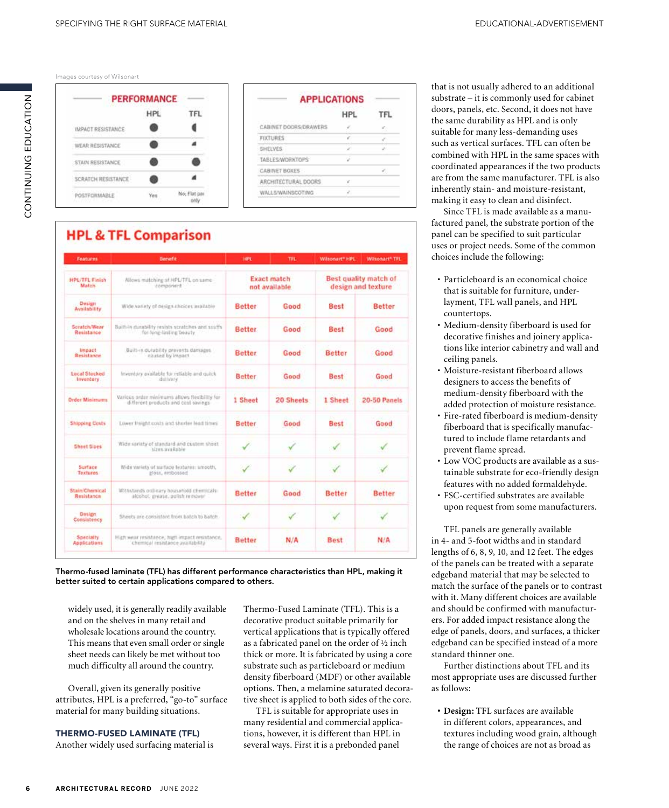Thermo-fused laminate (TFL) has different performance characteristics than HPL, making it

Overall, given its generally positive attributes, HPL is a preferred, "go-to" surface material for many building situations.

much difficulty all around the country.

widely used, it is generally readily available and on the shelves in many retail and wholesale locations around the country. This means that even small order or single

better suited to certain applications compared to others.

THERMO-FUSED LAMINATE (TFL)

Another widely used surfacing material is

Thermo-Fused Laminate (TFL). This is a decorative product suitable primarily for vertical applications that is typically offered as a fabricated panel on the order of ½ inch thick or more. It is fabricated by using a core substrate such as particleboard or medium density fiberboard (MDF) or other available options. Then, a melamine saturated decorative sheet is applied to both sides of the core.

TFL is suitable for appropriate uses in many residential and commercial applications, however, it is different than HPL in several ways. First it is a prebonded panel

that is not usually adhered to an additional substrate – it is commonly used for cabinet doors, panels, etc. Second, it does not have the same durability as HPL and is only suitable for many less-demanding uses such as vertical surfaces. TFL can often be combined with HPL in the same spaces with coordinated appearances if the two products are from the same manufacturer. TFL is also inherently stain- and moisture-resistant, making it easy to clean and disinfect.

Since TFL is made available as a manufactured panel, the substrate portion of the panel can be specified to suit particular uses or project needs. Some of the common choices include the following:

- Particleboard is an economical choice that is suitable for furniture, underlayment, TFL wall panels, and HPL countertops.
- Medium-density fiberboard is used for decorative finishes and joinery applications like interior cabinetry and wall and ceiling panels.
- Moisture-resistant fiberboard allows designers to access the benefits of medium-density fiberboard with the added protection of moisture resistance.
- Fire-rated fiberboard is medium-density fiberboard that is specifically manufactured to include flame retardants and prevent flame spread.
- Low VOC products are available as a sustainable substrate for eco-friendly design features with no added formaldehyde.
- FSC-certified substrates are available upon request from some manufacturers.

TFL panels are generally available in 4- and 5-foot widths and in standard lengths of 6, 8, 9, 10, and 12 feet. The edges of the panels can be treated with a separate edgeband material that may be selected to match the surface of the panels or to contrast with it. Many different choices are available and should be confirmed with manufacturers. For added impact resistance along the edge of panels, doors, and surfaces, a thicker edgeband can be specified instead of a more standard thinner one.

Further distinctions about TFL and its most appropriate uses are discussed further as follows:

**• Design:** TFL surfaces are available in different colors, appearances, and textures including wood grain, although the range of choices are not as broad as

## Images courtesy of Wilsonart

|                    | <b>PERFORMANCE</b> |              |  |
|--------------------|--------------------|--------------|--|
|                    | HPL                | FL           |  |
| IMPACT RESISTANCE  |                    |              |  |
| WEAR RESISTANCE    |                    |              |  |
| STAIN RESISTANCE   |                    |              |  |
| SCRATCH RESISTANCE |                    |              |  |
| <b>OSTFORMARLE</b> |                    | No, Flat par |  |

|                        | <b>HPL</b> |  |  |
|------------------------|------------|--|--|
| CABINET DOORS/DRAWERS. |            |  |  |
| <b>FIXTURES</b>        |            |  |  |
| <b>SHELVES</b>         |            |  |  |
| TABLES/WORKTOPS        | u          |  |  |
| CABINET BOXES          |            |  |  |
| ARCHITECTURAL DOORS    |            |  |  |
| WALLS/WAINSCOTING      |            |  |  |

| Features                                | <b>Bersefit</b>                                                                      | 14PL                                | <b>TFL</b> | Wilsonart* HPL                                     | Wilsonart* TFL |  |
|-----------------------------------------|--------------------------------------------------------------------------------------|-------------------------------------|------------|----------------------------------------------------|----------------|--|
| HPL/TFL Finish<br>Match.                | Allows matching of HPL/TFL on same-<br>component                                     | <b>Exact match</b><br>not available |            | <b>Best quality match of</b><br>design and texture |                |  |
| Design<br>Availability                  | Wide variety of design choices available                                             | Better                              | Good       | Best                                               | <b>Better</b>  |  |
| Scratch/Wear<br>Resistance              | Built-in durability resists stratches and souths<br>for fong-lasting beauty.         | <b>Better</b>                       | Good       | <b>Best</b>                                        | Good           |  |
| Impact<br><b>Resistance</b>             | Built-in durability prevents damages.<br>clused by impact                            | <b>Better</b>                       | Good       | Better                                             | Good           |  |
| <b>Local Stecked</b><br>Inventory       | Inventory available for reliable and quick<br>dullvery                               | <b>Better</b>                       | Good       | <b>Best</b>                                        | Good           |  |
| <b>Order Minimums</b>                   | Various order minimums allows flexibility for<br>different products and cost savings | 1 Sheet                             | 20 Sheets  | 1 Sheet                                            | 20-50 Panels   |  |
| <b>Shipping Costs</b>                   | Lower freight costs and shorter lead times'                                          | Better                              | Good       | <b>Best</b>                                        | Good           |  |
| Sheet Sizes                             | Wide variety of standard and custom sheet.<br>sizes available.                       |                                     |            |                                                    |                |  |
| Surface<br><b>Textures</b>              | Wide variety of surface features: smooth,<br>gloss, embossed                         | s                                   | کی         |                                                    |                |  |
| <b>Stain Chemical</b><br>Resistance     | Withstands ordinary household chemicals<br>alcohol, grease, polish remover           | <b>Better</b>                       | Good       | <b>Better</b>                                      | <b>Better</b>  |  |
| <b>Design</b><br>Consistency            | Sheets are consistant from batch to batch                                            |                                     | J          |                                                    |                |  |
| <b>Specialty</b><br><b>Applications</b> | High wear resistance, high impact resistance,<br>chemical resistance availability    | <b>Better</b>                       | N/A        | <b>Best</b>                                        | N/A            |  |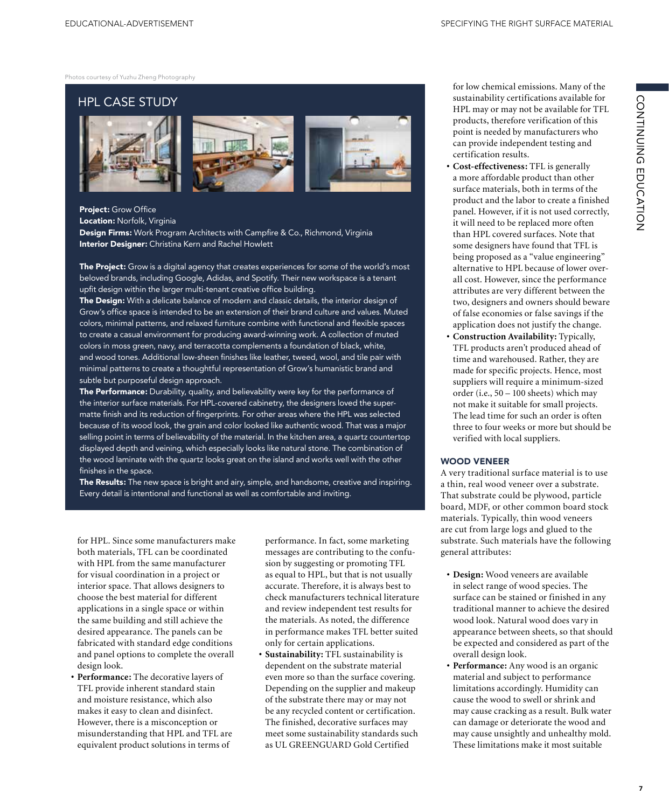Photos courtesy of Yuzhu Zheng Photography

# HPL CASE STUDY







# Project: Grow Office

Location: Norfolk, Virginia

Design Firms: Work Program Architects with Campfire & Co., Richmond, Virginia Interior Designer: Christina Kern and Rachel Howlett

The Project: Grow is a digital agency that creates experiences for some of the world's most beloved brands, including Google, Adidas, and Spotify. Their new workspace is a tenant upfit design within the larger multi-tenant creative office building.

The Design: With a delicate balance of modern and classic details, the interior design of Grow's office space is intended to be an extension of their brand culture and values. Muted colors, minimal patterns, and relaxed furniture combine with functional and flexible spaces to create a casual environment for producing award-winning work. A collection of muted colors in moss green, navy, and terracotta complements a foundation of black, white, and wood tones. Additional low-sheen finishes like leather, tweed, wool, and tile pair with minimal patterns to create a thoughtful representation of Grow's humanistic brand and subtle but purposeful design approach.

The Performance: Durability, quality, and believability were key for the performance of the interior surface materials. For HPL-covered cabinetry, the designers loved the supermatte finish and its reduction of fingerprints. For other areas where the HPL was selected because of its wood look, the grain and color looked like authentic wood. That was a major selling point in terms of believability of the material. In the kitchen area, a quartz countertop displayed depth and veining, which especially looks like natural stone. The combination of the wood laminate with the quartz looks great on the island and works well with the other finishes in the space.

The Results: The new space is bright and airy, simple, and handsome, creative and inspiring. Every detail is intentional and functional as well as comfortable and inviting.

for HPL. Since some manufacturers make both materials, TFL can be coordinated with HPL from the same manufacturer for visual coordination in a project or interior space. That allows designers to choose the best material for different applications in a single space or within the same building and still achieve the desired appearance. The panels can be fabricated with standard edge conditions and panel options to complete the overall design look.

**• Performance:** The decorative layers of TFL provide inherent standard stain and moisture resistance, which also makes it easy to clean and disinfect. However, there is a misconception or misunderstanding that HPL and TFL are equivalent product solutions in terms of

performance. In fact, some marketing messages are contributing to the confusion by suggesting or promoting TFL as equal to HPL, but that is not usually accurate. Therefore, it is always best to check manufacturers technical literature and review independent test results for the materials. As noted, the difference in performance makes TFL better suited only for certain applications.

**• Sustainability:** TFL sustainability is dependent on the substrate material even more so than the surface covering. Depending on the supplier and makeup of the substrate there may or may not be any recycled content or certification. The finished, decorative surfaces may meet some sustainability standards such as UL GREENGUARD Gold Certified

for low chemical emissions. Many of the sustainability certifications available for HPL may or may not be available for TFL products, therefore verification of this point is needed by manufacturers who can provide independent testing and certification results.

- **• Cost-effectiveness:** TFL is generally a more affordable product than other surface materials, both in terms of the product and the labor to create a finished panel. However, if it is not used correctly, it will need to be replaced more often than HPL covered surfaces. Note that some designers have found that TFL is being proposed as a "value engineering" alternative to HPL because of lower overall cost. However, since the performance attributes are very different between the two, designers and owners should beware of false economies or false savings if the application does not justify the change.
- **• Construction Availability:** Typically, TFL products aren't produced ahead of time and warehoused. Rather, they are made for specific projects. Hence, most suppliers will require a minimum-sized order (i.e., 50 – 100 sheets) which may not make it suitable for small projects. The lead time for such an order is often three to four weeks or more but should be verified with local suppliers.

## WOOD VENEER

A very traditional surface material is to use a thin, real wood veneer over a substrate. That substrate could be plywood, particle board, MDF, or other common board stock materials. Typically, thin wood veneers are cut from large logs and glued to the substrate. Such materials have the following general attributes:

- **• Design:** Wood veneers are available in select range of wood species. The surface can be stained or finished in any traditional manner to achieve the desired wood look. Natural wood does vary in appearance between sheets, so that should be expected and considered as part of the overall design look.
- **• Performance:** Any wood is an organic material and subject to performance limitations accordingly. Humidity can cause the wood to swell or shrink and may cause cracking as a result. Bulk water can damage or deteriorate the wood and may cause unsightly and unhealthy mold. These limitations make it most suitable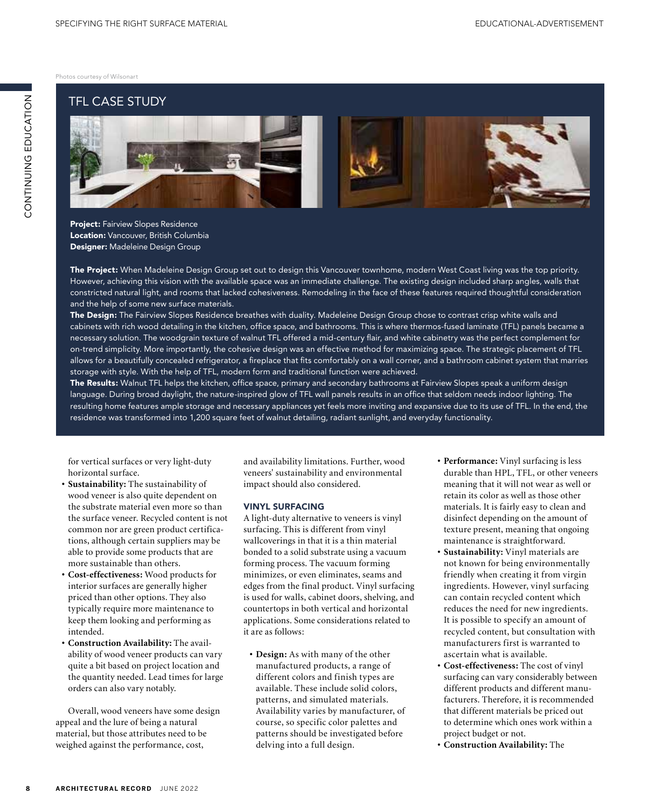Photos courtesy of Wilsonart

# TFL CASE STUDY



Project: Fairview Slopes Residence Location: Vancouver, British Columbia Designer: Madeleine Design Group

The Project: When Madeleine Design Group set out to design this Vancouver townhome, modern West Coast living was the top priority. However, achieving this vision with the available space was an immediate challenge. The existing design included sharp angles, walls that constricted natural light, and rooms that lacked cohesiveness. Remodeling in the face of these features required thoughtful consideration and the help of some new surface materials.

The Design: The Fairview Slopes Residence breathes with duality. Madeleine Design Group chose to contrast crisp white walls and cabinets with rich wood detailing in the kitchen, office space, and bathrooms. This is where thermos-fused laminate (TFL) panels became a necessary solution. The woodgrain texture of walnut TFL offered a mid-century flair, and white cabinetry was the perfect complement for on-trend simplicity. More importantly, the cohesive design was an effective method for maximizing space. The strategic placement of TFL allows for a beautifully concealed refrigerator, a fireplace that fits comfortably on a wall corner, and a bathroom cabinet system that marries storage with style. With the help of TFL, modern form and traditional function were achieved.

The Results: Walnut TFL helps the kitchen, office space, primary and secondary bathrooms at Fairview Slopes speak a uniform design language. During broad daylight, the nature-inspired glow of TFL wall panels results in an office that seldom needs indoor lighting. The resulting home features ample storage and necessary appliances yet feels more inviting and expansive due to its use of TFL. In the end, the residence was transformed into 1,200 square feet of walnut detailing, radiant sunlight, and everyday functionality.

for vertical surfaces or very light-duty horizontal surface.

- **• Sustainability:** The sustainability of wood veneer is also quite dependent on the substrate material even more so than the surface veneer. Recycled content is not common nor are green product certifications, although certain suppliers may be able to provide some products that are more sustainable than others.
- **• Cost-effectiveness:** Wood products for interior surfaces are generally higher priced than other options. They also typically require more maintenance to keep them looking and performing as intended.
- **• Construction Availability:** The availability of wood veneer products can vary quite a bit based on project location and the quantity needed. Lead times for large orders can also vary notably.

Overall, wood veneers have some design appeal and the lure of being a natural material, but those attributes need to be weighed against the performance, cost,

and availability limitations. Further, wood veneers' sustainability and environmental impact should also considered.

### VINYL SURFACING

A light-duty alternative to veneers is vinyl surfacing. This is different from vinyl wallcoverings in that it is a thin material bonded to a solid substrate using a vacuum forming process. The vacuum forming minimizes, or even eliminates, seams and edges from the final product. Vinyl surfacing is used for walls, cabinet doors, shelving, and countertops in both vertical and horizontal applications. Some considerations related to it are as follows:

**• Design:** As with many of the other manufactured products, a range of different colors and finish types are available. These include solid colors, patterns, and simulated materials. Availability varies by manufacturer, of course, so specific color palettes and patterns should be investigated before delving into a full design.

- **• Performance:** Vinyl surfacing is less durable than HPL, TFL, or other veneers meaning that it will not wear as well or retain its color as well as those other materials. It is fairly easy to clean and disinfect depending on the amount of texture present, meaning that ongoing maintenance is straightforward.
- **• Sustainability:** Vinyl materials are not known for being environmentally friendly when creating it from virgin ingredients. However, vinyl surfacing can contain recycled content which reduces the need for new ingredients. It is possible to specify an amount of recycled content, but consultation with manufacturers first is warranted to ascertain what is available.
- **• Cost-effectiveness:** The cost of vinyl surfacing can vary considerably between different products and different manufacturers. Therefore, it is recommended that different materials be priced out to determine which ones work within a project budget or not.
- **• Construction Availability:** The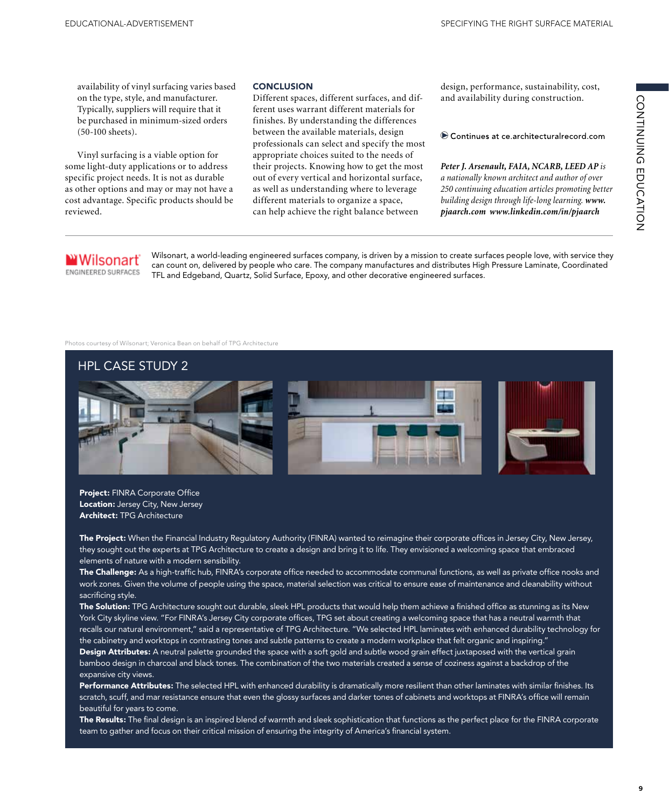availability of vinyl surfacing varies based on the type, style, and manufacturer. Typically, suppliers will require that it be purchased in minimum-sized orders (50-100 sheets).

Vinyl surfacing is a viable option for some light-duty applications or to address specific project needs. It is not as durable as other options and may or may not have a cost advantage. Specific products should be reviewed.

### **CONCLUSION**

Different spaces, different surfaces, and different uses warrant different materials for finishes. By understanding the differences between the available materials, design professionals can select and specify the most appropriate choices suited to the needs of their projects. Knowing how to get the most out of every vertical and horizontal surface, as well as understanding where to leverage different materials to organize a space, can help achieve the right balance between

design, performance, sustainability, cost, and availability during construction.

Continues at ce.architecturalrecord.com

# *Peter J. Arsenault, FAIA, NCARB, LEED AP is*

*a nationally known architect and author of over 250 continuing education articles promoting better building design through life-long learning. www. pjaarch.com www.linkedin.com/in/pjaarch* 

## Wilsonart ENGINEERED SURFACES

Wilsonart, a world-leading engineered surfaces company, is driven by a mission to create surfaces people love, with service they can count on, delivered by people who care. The company manufactures and distributes High Pressure Laminate, Coordinated TFL and Edgeband, Quartz, Solid Surface, Epoxy, and other decorative engineered surfaces.

#### Photos courtesy of Wilsonart; Veronica Bean on behalf of TPG Architecture



Project: FINRA Corporate Office Location: Jersey City, New Jersey Architect: TPG Architecture

The Project: When the Financial Industry Regulatory Authority (FINRA) wanted to reimagine their corporate offices in Jersey City, New Jersey, they sought out the experts at TPG Architecture to create a design and bring it to life. They envisioned a welcoming space that embraced elements of nature with a modern sensibility.

The Challenge: As a high-traffic hub, FINRA's corporate office needed to accommodate communal functions, as well as private office nooks and work zones. Given the volume of people using the space, material selection was critical to ensure ease of maintenance and cleanability without sacrificing style.

The Solution: TPG Architecture sought out durable, sleek HPL products that would help them achieve a finished office as stunning as its New York City skyline view. "For FINRA's Jersey City corporate offices, TPG set about creating a welcoming space that has a neutral warmth that recalls our natural environment," said a representative of TPG Architecture. "We selected HPL laminates with enhanced durability technology for the cabinetry and worktops in contrasting tones and subtle patterns to create a modern workplace that felt organic and inspiring." Design Attributes: A neutral palette grounded the space with a soft gold and subtle wood grain effect juxtaposed with the vertical grain bamboo design in charcoal and black tones. The combination of the two materials created a sense of coziness against a backdrop of the expansive city views.

Performance Attributes: The selected HPL with enhanced durability is dramatically more resilient than other laminates with similar finishes. Its scratch, scuff, and mar resistance ensure that even the glossy surfaces and darker tones of cabinets and worktops at FINRA's office will remain beautiful for years to come.

The Results: The final design is an inspired blend of warmth and sleek sophistication that functions as the perfect place for the FINRA corporate team to gather and focus on their critical mission of ensuring the integrity of America's financial system.